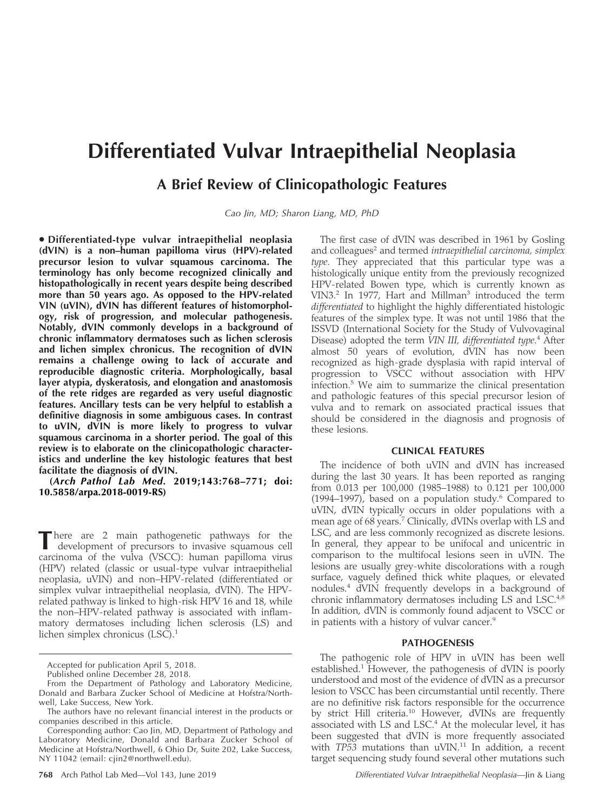# Differentiated Vulvar Intraepithelial Neoplasia

## A Brief Review of Clinicopathologic Features

Cao Jin, MD; Sharon Liang, MD, PhD

- Differentiated-type vulvar intraepithelial neoplasia (dVIN) is a non–human papilloma virus (HPV)-related precursor lesion to vulvar squamous carcinoma. The terminology has only become recognized clinically and histopathologically in recent years despite being described more than 50 years ago. As opposed to the HPV-related VIN (uVIN), dVIN has different features of histomorphology, risk of progression, and molecular pathogenesis. Notably, dVIN commonly develops in a background of chronic inflammatory dermatoses such as lichen sclerosis and lichen simplex chronicus. The recognition of dVIN remains a challenge owing to lack of accurate and reproducible diagnostic criteria. Morphologically, basal layer atypia, dyskeratosis, and elongation and anastomosis of the rete ridges are regarded as very useful diagnostic features. Ancillary tests can be very helpful to establish a definitive diagnosis in some ambiguous cases. In contrast to uVIN, dVIN is more likely to progress to vulvar squamous carcinoma in a shorter period. The goal of this review is to elaborate on the clinicopathologic characteristics and underline the key histologic features that best facilitate the diagnosis of dVIN.

(Arch Pathol Lab Med. 2019;143:768–771; doi: 10.5858/arpa.2018-0019-RS)

There are 2 main pathogenetic pathways for the development of precursors to invasive squamous cell carcinoma of the vulva (VSCC): human papilloma virus (HPV) related (classic or usual-type vulvar intraepithelial neoplasia, uVIN) and non–HPV-related (differentiated or simplex vulvar intraepithelial neoplasia, dVIN). The HPVrelated pathway is linked to high-risk HPV 16 and 18, while the non–HPV-related pathway is associated with inflammatory dermatoses including lichen sclerosis (LS) and lichen simplex chronicus  $(LSC)^1$ 

The first case of dVIN was described in 1961 by Gosling and colleagues<sup>2</sup> and termed *intraepithelial carcinoma*, *simplex* type. They appreciated that this particular type was a histologically unique entity from the previously recognized HPV-related Bowen type, which is currently known as VIN3.2 In 1977, Hart and Millman3 introduced the term differentiated to highlight the highly differentiated histologic features of the simplex type. It was not until 1986 that the ISSVD (International Society for the Study of Vulvovaginal Disease) adopted the term VIN III, differentiated type.<sup>4</sup> After almost 50 years of evolution, dVIN has now been recognized as high-grade dysplasia with rapid interval of progression to VSCC without association with HPV infection.<sup>5</sup> We aim to summarize the clinical presentation and pathologic features of this special precursor lesion of vulva and to remark on associated practical issues that should be considered in the diagnosis and prognosis of these lesions.

### CLINICAL FEATURES

The incidence of both uVIN and dVIN has increased during the last 30 years. It has been reported as ranging from 0.013 per 100,000 (1985–1988) to 0.121 per 100,000  $(1994–1997)$ , based on a population study.<sup>6</sup> Compared to uVIN, dVIN typically occurs in older populations with a mean age of 68 years.<sup>7</sup> Clinically, dVINs overlap with LS and LSC, and are less commonly recognized as discrete lesions. In general, they appear to be unifocal and unicentric in comparison to the multifocal lesions seen in uVIN. The lesions are usually grey-white discolorations with a rough surface, vaguely defined thick white plaques, or elevated nodules.<sup>4</sup> dVIN frequently develops in a background of chronic inflammatory dermatoses including LS and LSC.4,8 In addition, dVIN is commonly found adjacent to VSCC or in patients with a history of vulvar cancer.<sup>9</sup>

### PATHOGENESIS

The pathogenic role of HPV in uVIN has been well established.<sup>1</sup> However, the pathogenesis of dVIN is poorly understood and most of the evidence of dVIN as a precursor lesion to VSCC has been circumstantial until recently. There are no definitive risk factors responsible for the occurrence by strict Hill criteria.10 However, dVINs are frequently associated with LS and LSC.<sup>4</sup> At the molecular level, it has been suggested that dVIN is more frequently associated with TP53 mutations than uVIN.<sup>11</sup> In addition, a recent target sequencing study found several other mutations such

Accepted for publication April 5, 2018.

Published online December 28, 2018.

From the Department of Pathology and Laboratory Medicine, Donald and Barbara Zucker School of Medicine at Hofstra/Northwell, Lake Success, New York.

The authors have no relevant financial interest in the products or companies described in this article.

Corresponding author: Cao Jin, MD, Department of Pathology and Laboratory Medicine, Donald and Barbara Zucker School of Medicine at Hofstra/Northwell, 6 Ohio Dr, Suite 202, Lake Success, NY 11042 (email: [cjin2@northwell.edu](mailto:cjin2@northwell.edu)).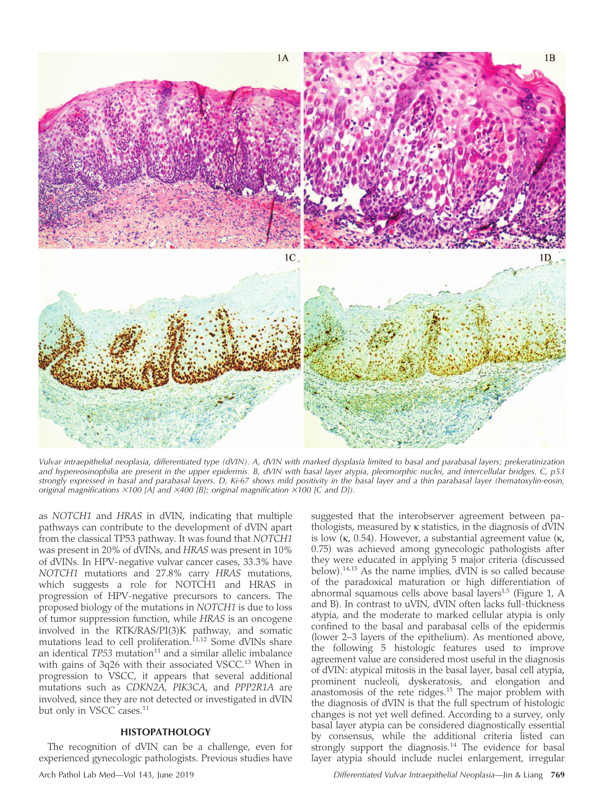

Vulvar intraepithelial neoplasia, differentiated type (dVIN). A, dVIN with marked dysplasia limited to basal and parabasal layers; prekeratinization and hypereosinophilia are present in the upper epidermis. B, dVIN with basal layer atypia, pleomorphic nuclei, and intercellular bridges. C, p53 strongly expressed in basal and parabasal layers. D, Ki-67 shows mild positivity in the basal layer and a thin parabasal layer (hematoxylin-eosin, original magnifications  $\times$ 100 [A] and  $\times$ 400 [B]; original magnification  $\times$ 100 [C and D]).

as NOTCH1 and HRAS in dVIN, indicating that multiple pathways can contribute to the development of dVIN apart from the classical TP53 pathway. It was found that NOTCH1 was present in 20% of dVINs, and HRAS was present in 10% of dVINs. In HPV-negative vulvar cancer cases, 33.3% have NOTCH1 mutations and 27.8% carry HRAS mutations, which suggests a role for NOTCH1 and HRAS in progression of HPV-negative precursors to cancers. The proposed biology of the mutations in NOTCH1 is due to loss of tumor suppression function, while HRAS is an oncogene involved in the RTK/RAS/PI(3)K pathway, and somatic mutations lead to cell proliferation.<sup>11,12</sup> Some dVINs share an identical  $TP53$  mutation<sup>11</sup> and a similar allelic imbalance with gains of 3q26 with their associated VSCC.<sup>13</sup> When in progression to VSCC, it appears that several additional mutations such as CDKN2A, PIK3CA, and PPP2R1A are involved, since they are not detected or investigated in dVIN but only in VSCC cases.<sup>11</sup>

#### HISTOPATHOLOGY

The recognition of dVIN can be a challenge, even for experienced gynecologic pathologists. Previous studies have

suggested that the interobserver agreement between pathologists, measured by  $\kappa$  statistics, in the diagnosis of dVIN is low  $(\kappa, 0.54)$ . However, a substantial agreement value  $(\kappa, \kappa)$ 0.75) was achieved among gynecologic pathologists after they were educated in applying 5 major criteria (discussed below).14,15 As the name implies, dVIN is so called because of the paradoxical maturation or high differentiation of abnormal squamous cells above basal layers<sup>1,5</sup> (Figure 1, A and B). In contrast to uVIN, dVIN often lacks full-thickness atypia, and the moderate to marked cellular atypia is only confined to the basal and parabasal cells of the epidermis (lower 2–3 layers of the epithelium). As mentioned above, the following 5 histologic features used to improve agreement value are considered most useful in the diagnosis of dVIN: atypical mitosis in the basal layer, basal cell atypia, prominent nucleoli, dyskeratosis, and elongation and anastomosis of the rete ridges.<sup>15</sup> The major problem with the diagnosis of dVIN is that the full spectrum of histologic changes is not yet well defined. According to a survey, only basal layer atypia can be considered diagnostically essential by consensus, while the additional criteria listed can strongly support the diagnosis.<sup>14</sup> The evidence for basal layer atypia should include nuclei enlargement, irregular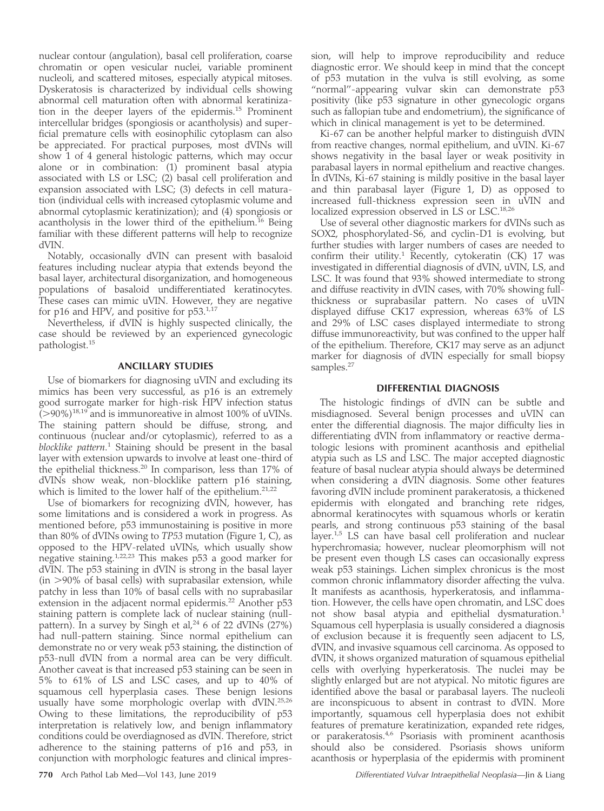nuclear contour (angulation), basal cell proliferation, coarse chromatin or open vesicular nuclei, variable prominent nucleoli, and scattered mitoses, especially atypical mitoses. Dyskeratosis is characterized by individual cells showing abnormal cell maturation often with abnormal keratinization in the deeper layers of the epidermis.15 Prominent intercellular bridges (spongiosis or acantholysis) and superficial premature cells with eosinophilic cytoplasm can also be appreciated. For practical purposes, most dVINs will show 1 of 4 general histologic patterns, which may occur alone or in combination: (1) prominent basal atypia associated with LS or LSC; (2) basal cell proliferation and expansion associated with LSC; (3) defects in cell maturation (individual cells with increased cytoplasmic volume and abnormal cytoplasmic keratinization); and (4) spongiosis or acantholysis in the lower third of the epithelium.<sup>16</sup> Being familiar with these different patterns will help to recognize dVIN.

Notably, occasionally dVIN can present with basaloid features including nuclear atypia that extends beyond the basal layer, architectural disorganization, and homogeneous populations of basaloid undifferentiated keratinocytes. These cases can mimic uVIN. However, they are negative for p16 and HPV, and positive for  $p53.^{1,17}$ 

Nevertheless, if dVIN is highly suspected clinically, the case should be reviewed by an experienced gynecologic pathologist.<sup>15</sup>

## ANCILLARY STUDIES

Use of biomarkers for diagnosing uVIN and excluding its mimics has been very successful, as p16 is an extremely good surrogate marker for high-risk HPV infection status  $(>90\%)$ <sup>18,19</sup> and is immunoreative in almost 100% of uVINs. The staining pattern should be diffuse, strong, and continuous (nuclear and/or cytoplasmic), referred to as a blocklike pattern.<sup>1</sup> Staining should be present in the basal layer with extension upwards to involve at least one-third of the epithelial thickness.<sup>20</sup> In comparison, less than 17% of dVINs show weak, non-blocklike pattern p16 staining, which is limited to the lower half of the epithelium.<sup>21,22</sup>

Use of biomarkers for recognizing dVIN, however, has some limitations and is considered a work in progress. As mentioned before, p53 immunostaining is positive in more than 80% of dVINs owing to TP53 mutation (Figure 1, C), as opposed to the HPV-related uVINs, which usually show negative staining.1,22,23 This makes p53 a good marker for dVIN. The p53 staining in dVIN is strong in the basal layer  $(in > 90\%$  of basal cells) with suprabasilar extension, while patchy in less than 10% of basal cells with no suprabasilar extension in the adjacent normal epidermis.<sup>22</sup> Another p53 staining pattern is complete lack of nuclear staining (nullpattern). In a survey by Singh et al,  $24/6$  of 22 dVINs (27%) had null-pattern staining. Since normal epithelium can demonstrate no or very weak p53 staining, the distinction of p53-null dVIN from a normal area can be very difficult. Another caveat is that increased p53 staining can be seen in 5% to 61% of LS and LSC cases, and up to 40% of squamous cell hyperplasia cases. These benign lesions usually have some morphologic overlap with dVIN.<sup>25,26</sup> Owing to these limitations, the reproducibility of p53 interpretation is relatively low, and benign inflammatory conditions could be overdiagnosed as dVIN. Therefore, strict adherence to the staining patterns of p16 and p53, in conjunction with morphologic features and clinical impression, will help to improve reproducibility and reduce diagnostic error. We should keep in mind that the concept of p53 mutation in the vulva is still evolving, as some "normal"-appearing vulvar skin can demonstrate p53 positivity (like p53 signature in other gynecologic organs such as fallopian tube and endometrium), the significance of which in clinical management is yet to be determined.

Ki-67 can be another helpful marker to distinguish dVIN from reactive changes, normal epithelium, and uVIN. Ki-67 shows negativity in the basal layer or weak positivity in parabasal layers in normal epithelium and reactive changes. In dVINs, Ki-67 staining is mildly positive in the basal layer and thin parabasal layer (Figure 1, D) as opposed to increased full-thickness expression seen in uVIN and localized expression observed in LS or LSC.18,26

Use of several other diagnostic markers for dVINs such as SOX2, phosphorylated-S6, and cyclin-D1 is evolving, but further studies with larger numbers of cases are needed to confirm their utility.<sup>1</sup> Recently, cytokeratin (CK) 17 was investigated in differential diagnosis of dVIN, uVIN, LS, and LSC. It was found that 93% showed intermediate to strong and diffuse reactivity in dVIN cases, with 70% showing fullthickness or suprabasilar pattern. No cases of uVIN displayed diffuse CK17 expression, whereas 63% of LS and 29% of LSC cases displayed intermediate to strong diffuse immunoreactivity, but was confined to the upper half of the epithelium. Therefore, CK17 may serve as an adjunct marker for diagnosis of dVIN especially for small biopsy samples.<sup>27</sup>

## DIFFERENTIAL DIAGNOSIS

The histologic findings of dVIN can be subtle and misdiagnosed. Several benign processes and uVIN can enter the differential diagnosis. The major difficulty lies in differentiating dVIN from inflammatory or reactive dermatologic lesions with prominent acanthosis and epithelial atypia such as LS and LSC. The major accepted diagnostic feature of basal nuclear atypia should always be determined when considering a dVIN diagnosis. Some other features favoring dVIN include prominent parakeratosis, a thickened epidermis with elongated and branching rete ridges, abnormal keratinocytes with squamous whorls or keratin pearls, and strong continuous p53 staining of the basal layer.<sup>1,5</sup> LS can have basal cell proliferation and nuclear hyperchromasia; however, nuclear pleomorphism will not be present even though LS cases can occasionally express weak p53 stainings. Lichen simplex chronicus is the most common chronic inflammatory disorder affecting the vulva. It manifests as acanthosis, hyperkeratosis, and inflammation. However, the cells have open chromatin, and LSC does not show basal atypia and epithelial dysmaturation.<sup>1</sup> Squamous cell hyperplasia is usually considered a diagnosis of exclusion because it is frequently seen adjacent to LS, dVIN, and invasive squamous cell carcinoma. As opposed to dVIN, it shows organized maturation of squamous epithelial cells with overlying hyperkeratosis. The nuclei may be slightly enlarged but are not atypical. No mitotic figures are identified above the basal or parabasal layers. The nucleoli are inconspicuous to absent in contrast to dVIN. More importantly, squamous cell hyperplasia does not exhibit features of premature keratinization, expanded rete ridges, or parakeratosis.<sup>4,6</sup> Psoriasis with prominent acanthosis should also be considered. Psoriasis shows uniform acanthosis or hyperplasia of the epidermis with prominent